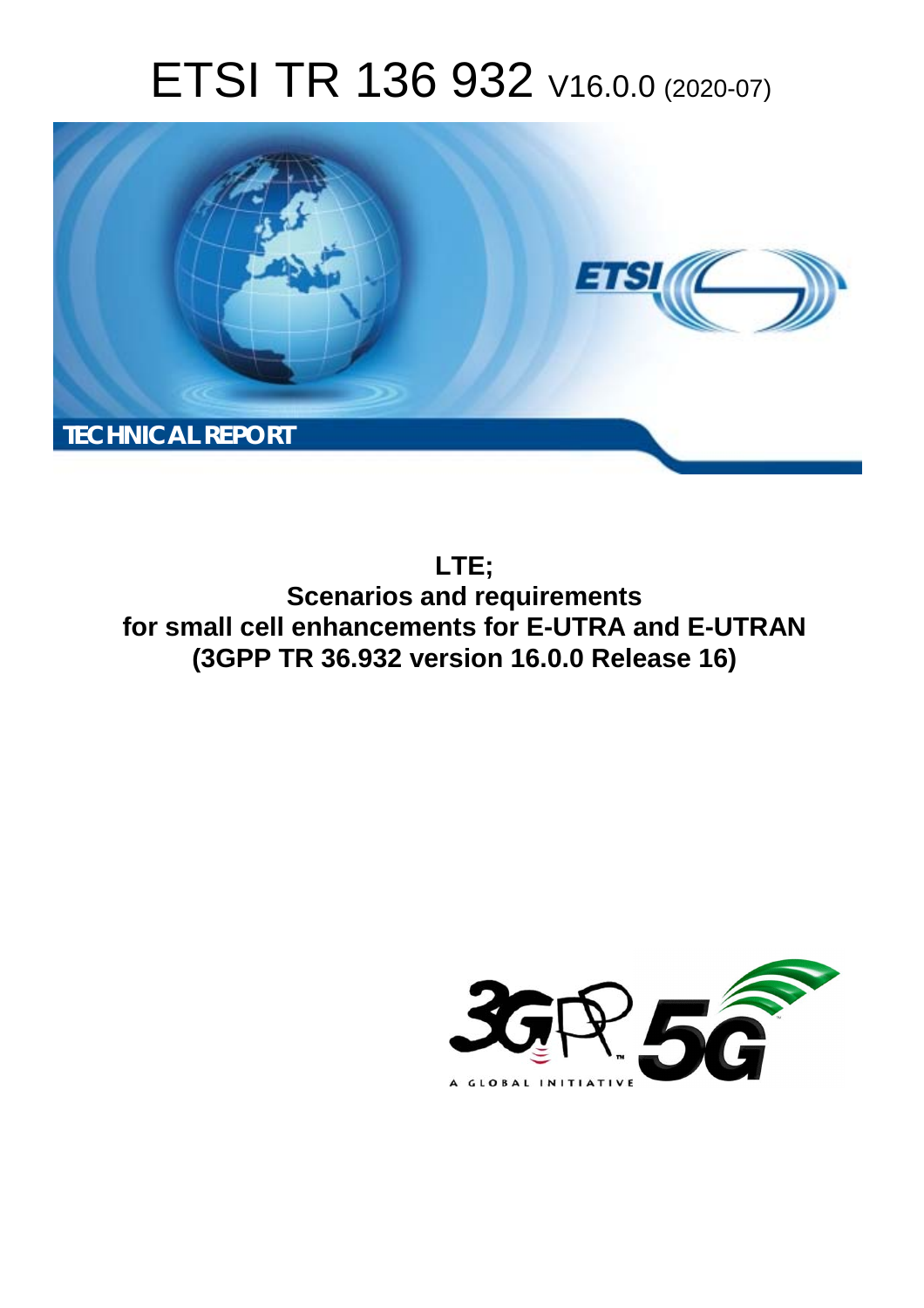# ETSI TR 136 932 V16.0.0 (2020-07)



**LTE; Scenarios and requirements for small cell enhancements for E-UTRA and E-UTRAN (3GPP TR 36.932 version 16.0.0 Release 16)** 

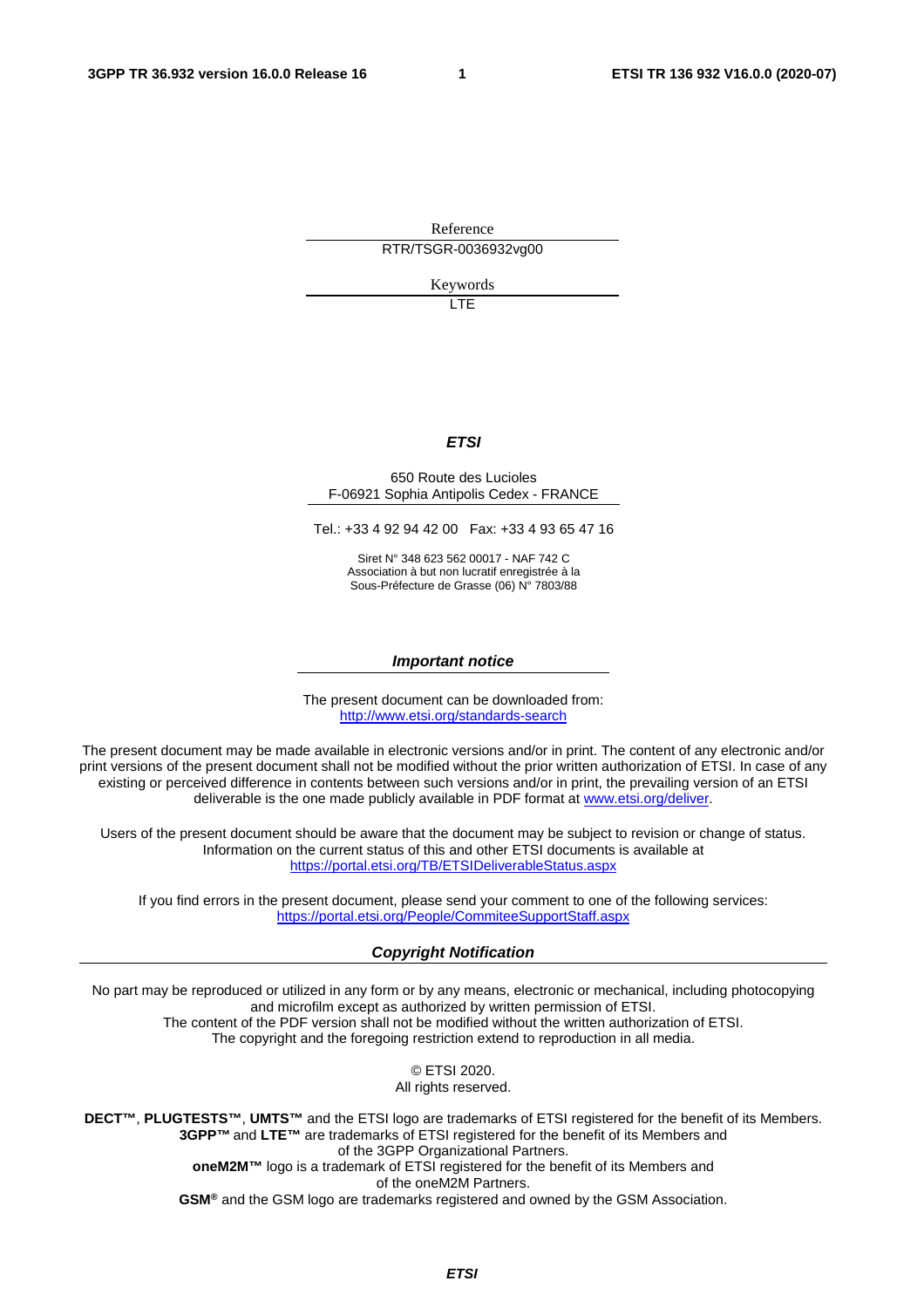Reference RTR/TSGR-0036932vg00

Keywords

LTE

#### *ETSI*

#### 650 Route des Lucioles F-06921 Sophia Antipolis Cedex - FRANCE

Tel.: +33 4 92 94 42 00 Fax: +33 4 93 65 47 16

Siret N° 348 623 562 00017 - NAF 742 C Association à but non lucratif enregistrée à la Sous-Préfecture de Grasse (06) N° 7803/88

#### *Important notice*

The present document can be downloaded from: <http://www.etsi.org/standards-search>

The present document may be made available in electronic versions and/or in print. The content of any electronic and/or print versions of the present document shall not be modified without the prior written authorization of ETSI. In case of any existing or perceived difference in contents between such versions and/or in print, the prevailing version of an ETSI deliverable is the one made publicly available in PDF format at [www.etsi.org/deliver](http://www.etsi.org/deliver).

Users of the present document should be aware that the document may be subject to revision or change of status. Information on the current status of this and other ETSI documents is available at <https://portal.etsi.org/TB/ETSIDeliverableStatus.aspx>

If you find errors in the present document, please send your comment to one of the following services: <https://portal.etsi.org/People/CommiteeSupportStaff.aspx>

#### *Copyright Notification*

No part may be reproduced or utilized in any form or by any means, electronic or mechanical, including photocopying and microfilm except as authorized by written permission of ETSI. The content of the PDF version shall not be modified without the written authorization of ETSI. The copyright and the foregoing restriction extend to reproduction in all media.

> © ETSI 2020. All rights reserved.

**DECT™**, **PLUGTESTS™**, **UMTS™** and the ETSI logo are trademarks of ETSI registered for the benefit of its Members. **3GPP™** and **LTE™** are trademarks of ETSI registered for the benefit of its Members and of the 3GPP Organizational Partners. **oneM2M™** logo is a trademark of ETSI registered for the benefit of its Members and of the oneM2M Partners. **GSM®** and the GSM logo are trademarks registered and owned by the GSM Association.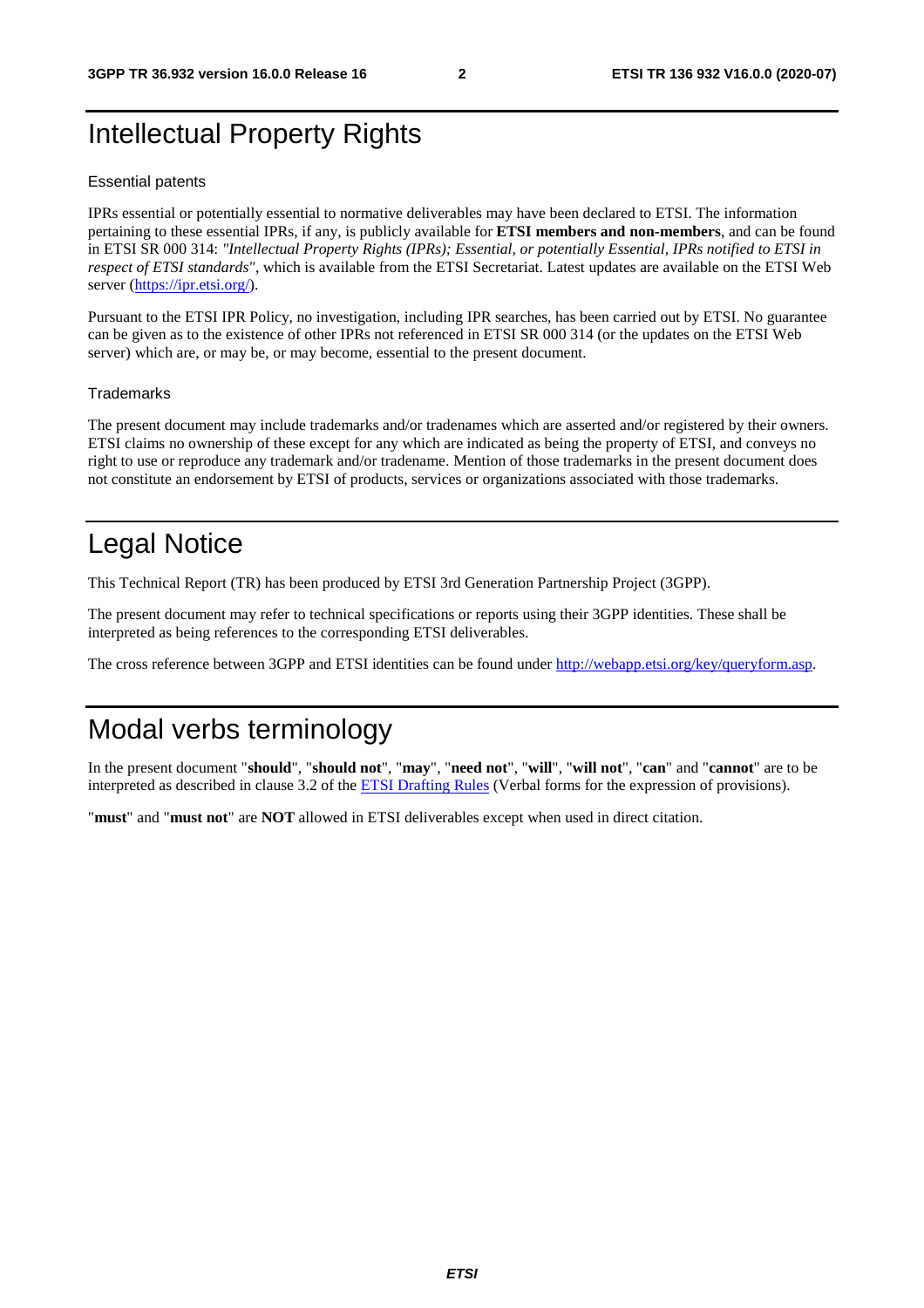### <span id="page-2-0"></span>Intellectual Property Rights

#### Essential patents

IPRs essential or potentially essential to normative deliverables may have been declared to ETSI. The information pertaining to these essential IPRs, if any, is publicly available for **ETSI members and non-members**, and can be found in ETSI SR 000 314: *"Intellectual Property Rights (IPRs); Essential, or potentially Essential, IPRs notified to ETSI in respect of ETSI standards"*, which is available from the ETSI Secretariat. Latest updates are available on the ETSI Web server ([https://ipr.etsi.org/\)](https://ipr.etsi.org/).

Pursuant to the ETSI IPR Policy, no investigation, including IPR searches, has been carried out by ETSI. No guarantee can be given as to the existence of other IPRs not referenced in ETSI SR 000 314 (or the updates on the ETSI Web server) which are, or may be, or may become, essential to the present document.

#### **Trademarks**

The present document may include trademarks and/or tradenames which are asserted and/or registered by their owners. ETSI claims no ownership of these except for any which are indicated as being the property of ETSI, and conveys no right to use or reproduce any trademark and/or tradename. Mention of those trademarks in the present document does not constitute an endorsement by ETSI of products, services or organizations associated with those trademarks.

### Legal Notice

This Technical Report (TR) has been produced by ETSI 3rd Generation Partnership Project (3GPP).

The present document may refer to technical specifications or reports using their 3GPP identities. These shall be interpreted as being references to the corresponding ETSI deliverables.

The cross reference between 3GPP and ETSI identities can be found under<http://webapp.etsi.org/key/queryform.asp>.

### Modal verbs terminology

In the present document "**should**", "**should not**", "**may**", "**need not**", "**will**", "**will not**", "**can**" and "**cannot**" are to be interpreted as described in clause 3.2 of the [ETSI Drafting Rules](https://portal.etsi.org/Services/editHelp!/Howtostart/ETSIDraftingRules.aspx) (Verbal forms for the expression of provisions).

"**must**" and "**must not**" are **NOT** allowed in ETSI deliverables except when used in direct citation.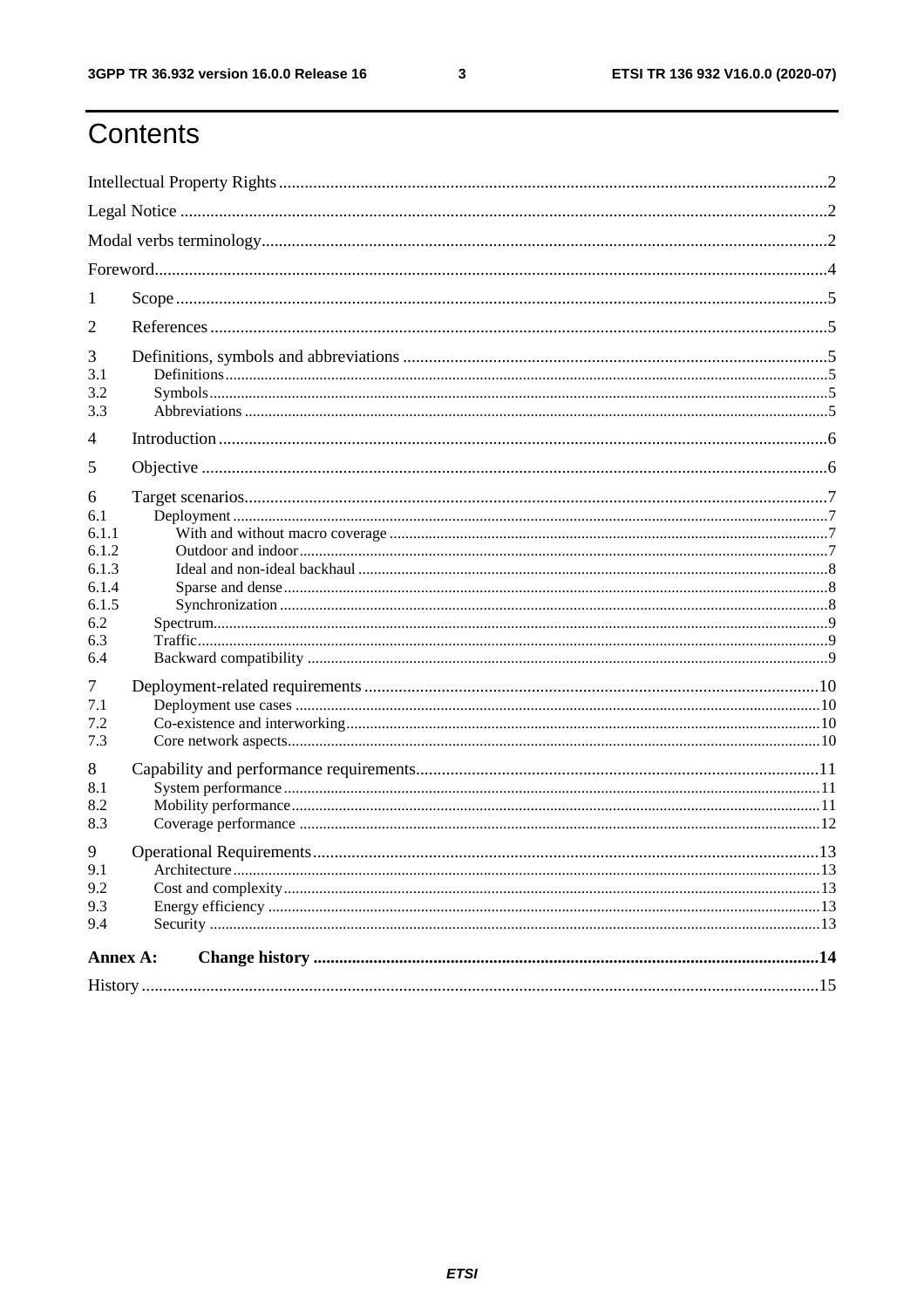ETSI TR 136 932 V16.0.0 (2020-07)

## Contents

| 1                                                                                                         |  |  |  |  |  |  |
|-----------------------------------------------------------------------------------------------------------|--|--|--|--|--|--|
| $\overline{2}$                                                                                            |  |  |  |  |  |  |
| 3<br>3.1<br>3.2                                                                                           |  |  |  |  |  |  |
| 3.3                                                                                                       |  |  |  |  |  |  |
| 4                                                                                                         |  |  |  |  |  |  |
| 5                                                                                                         |  |  |  |  |  |  |
| 6<br>6.1<br>6.1.1<br>6.1.2<br>6.1.3<br>6.1.4<br>6.1.5<br>6.2<br>6.3<br>6.4<br>7<br>7.1<br>7.2<br>7.3<br>8 |  |  |  |  |  |  |
| 8.1<br>8.2<br>8.3                                                                                         |  |  |  |  |  |  |
| 9<br>9.1<br>9.2<br>9.3<br>9.4                                                                             |  |  |  |  |  |  |
| Annex A:                                                                                                  |  |  |  |  |  |  |
|                                                                                                           |  |  |  |  |  |  |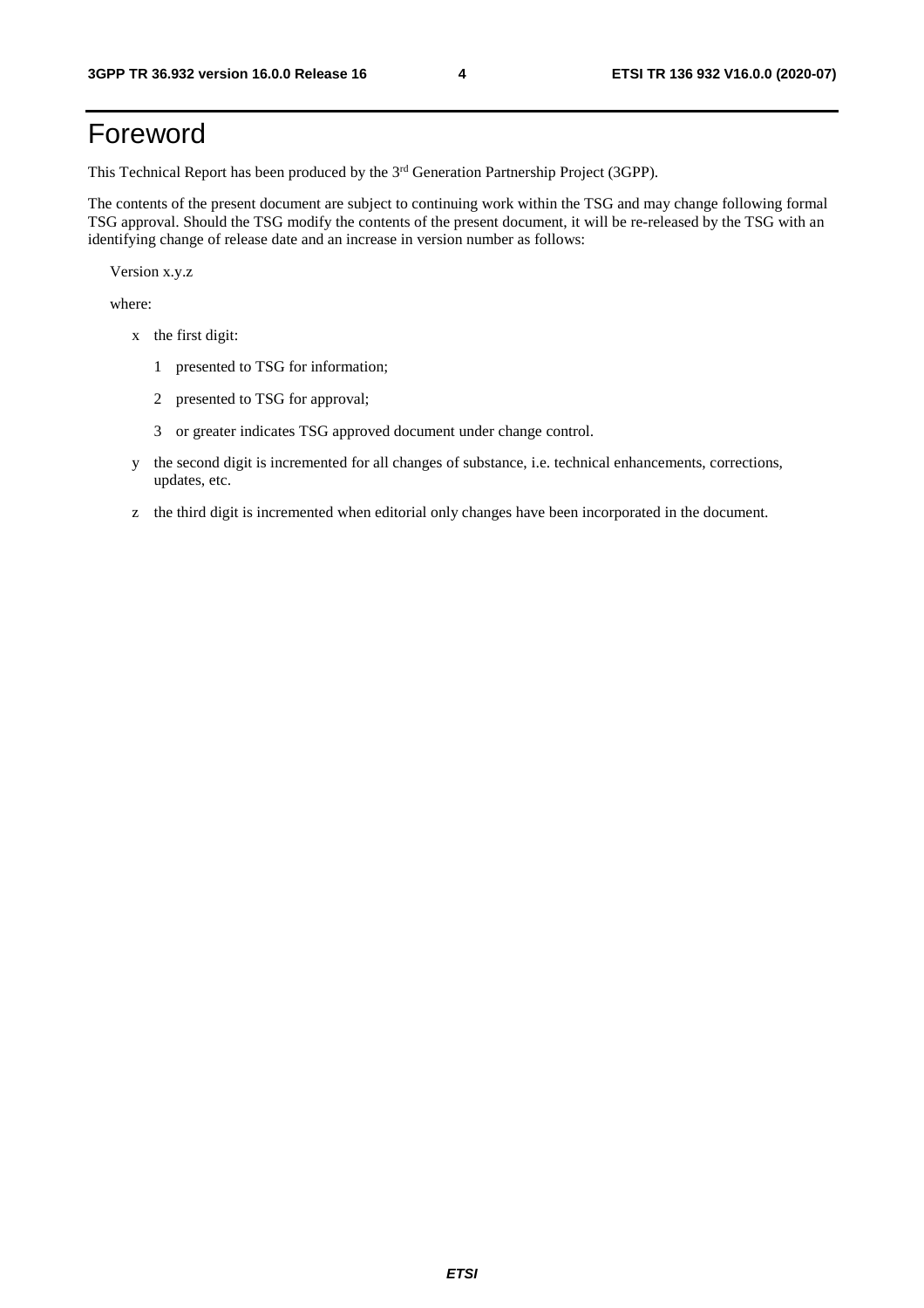## <span id="page-4-0"></span>Foreword

This Technical Report has been produced by the 3<sup>rd</sup> Generation Partnership Project (3GPP).

The contents of the present document are subject to continuing work within the TSG and may change following formal TSG approval. Should the TSG modify the contents of the present document, it will be re-released by the TSG with an identifying change of release date and an increase in version number as follows:

Version x.y.z

where:

- x the first digit:
	- 1 presented to TSG for information;
	- 2 presented to TSG for approval;
	- 3 or greater indicates TSG approved document under change control.
- y the second digit is incremented for all changes of substance, i.e. technical enhancements, corrections, updates, etc.
- z the third digit is incremented when editorial only changes have been incorporated in the document.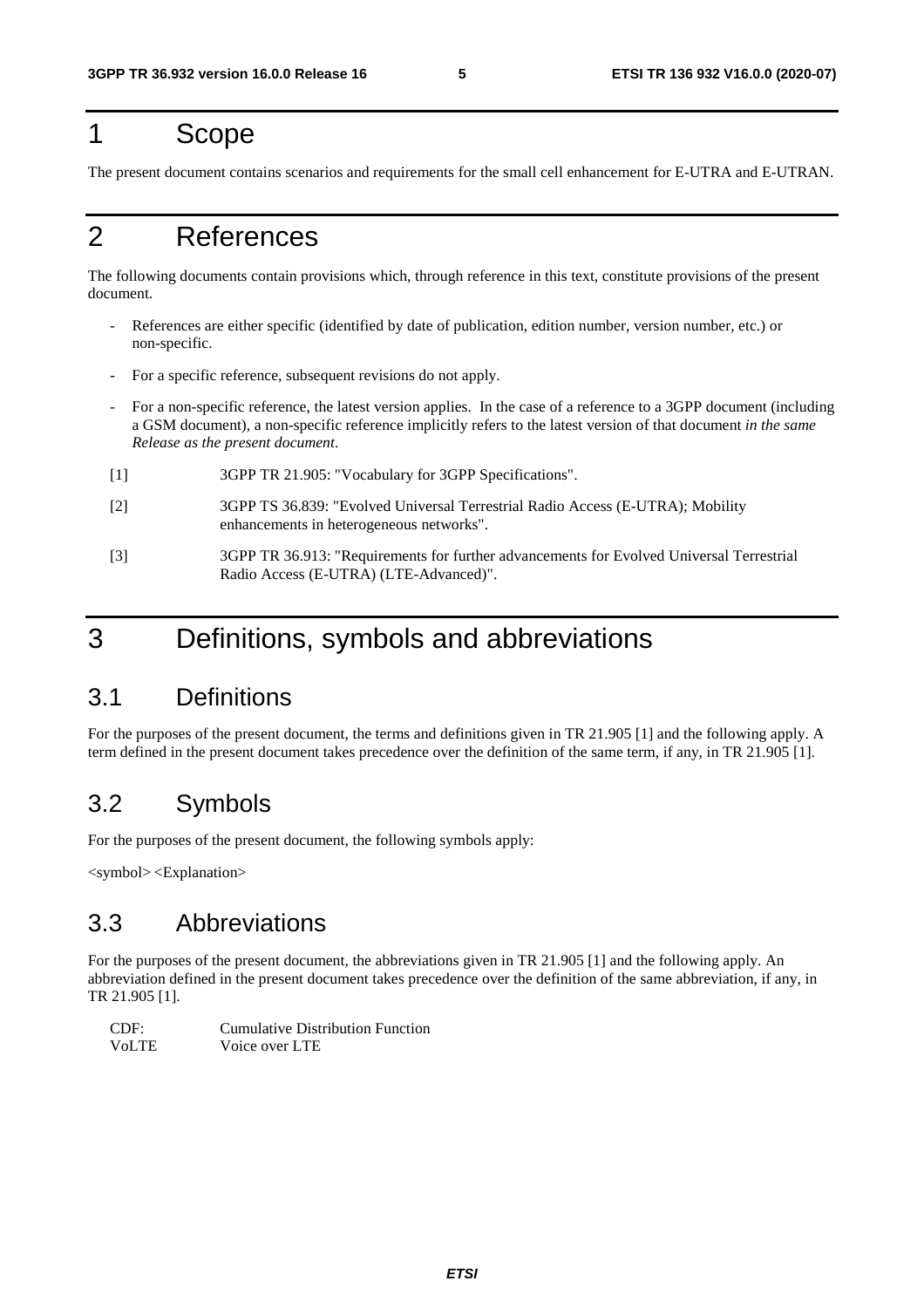### <span id="page-5-0"></span>1 Scope

The present document contains scenarios and requirements for the small cell enhancement for E-UTRA and E-UTRAN.

### 2 References

The following documents contain provisions which, through reference in this text, constitute provisions of the present document.

- References are either specific (identified by date of publication, edition number, version number, etc.) or non-specific.
- For a specific reference, subsequent revisions do not apply.
- For a non-specific reference, the latest version applies. In the case of a reference to a 3GPP document (including a GSM document), a non-specific reference implicitly refers to the latest version of that document *in the same Release as the present document*.
- [1] 3GPP TR 21.905: "Vocabulary for 3GPP Specifications".
- [2] 3GPP TS 36.839: "Evolved Universal Terrestrial Radio Access (E-UTRA); Mobility enhancements in heterogeneous networks".
- [3] 3GPP TR 36.913: "Requirements for further advancements for Evolved Universal Terrestrial Radio Access (E-UTRA) (LTE-Advanced)".

### 3 Definitions, symbols and abbreviations

#### 3.1 Definitions

For the purposes of the present document, the terms and definitions given in TR 21.905 [1] and the following apply. A term defined in the present document takes precedence over the definition of the same term, if any, in TR 21.905 [1].

### 3.2 Symbols

For the purposes of the present document, the following symbols apply:

<symbol> <Explanation>

#### 3.3 Abbreviations

For the purposes of the present document, the abbreviations given in TR 21.905 [1] and the following apply. An abbreviation defined in the present document takes precedence over the definition of the same abbreviation, if any, in TR 21.905 [1].

| CDF:  | Cumulative Distribution Function |
|-------|----------------------------------|
| VoLTE | Voice over LTE                   |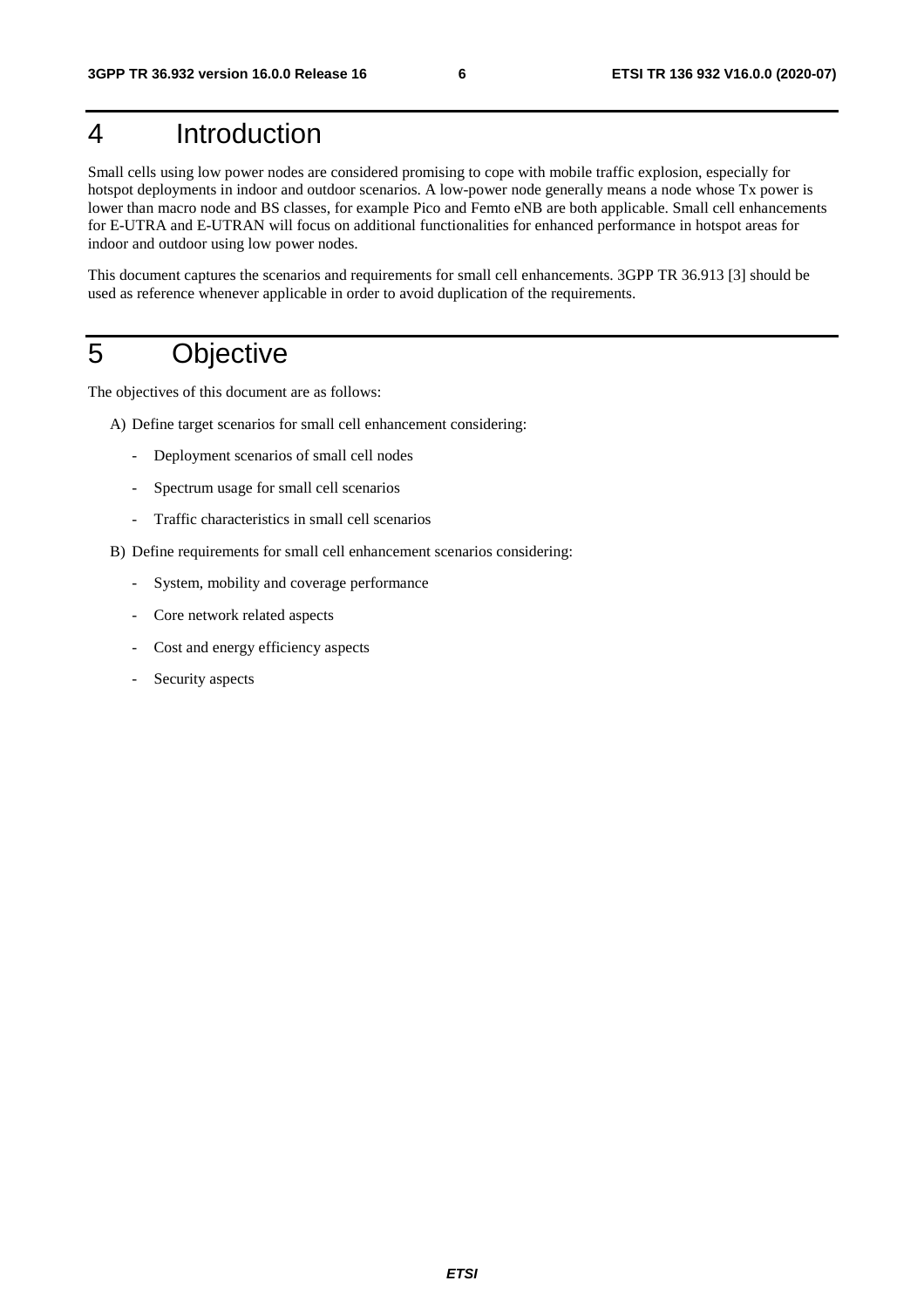## <span id="page-6-0"></span>4 Introduction

Small cells using low power nodes are considered promising to cope with mobile traffic explosion, especially for hotspot deployments in indoor and outdoor scenarios. A low-power node generally means a node whose Tx power is lower than macro node and BS classes, for example Pico and Femto eNB are both applicable. Small cell enhancements for E-UTRA and E-UTRAN will focus on additional functionalities for enhanced performance in hotspot areas for indoor and outdoor using low power nodes.

This document captures the scenarios and requirements for small cell enhancements. 3GPP TR 36.913 [3] should be used as reference whenever applicable in order to avoid duplication of the requirements.

### 5 Objective

The objectives of this document are as follows:

- A) Define target scenarios for small cell enhancement considering:
	- Deployment scenarios of small cell nodes
	- Spectrum usage for small cell scenarios
	- Traffic characteristics in small cell scenarios
- B) Define requirements for small cell enhancement scenarios considering:
	- System, mobility and coverage performance
	- Core network related aspects
	- Cost and energy efficiency aspects
	- Security aspects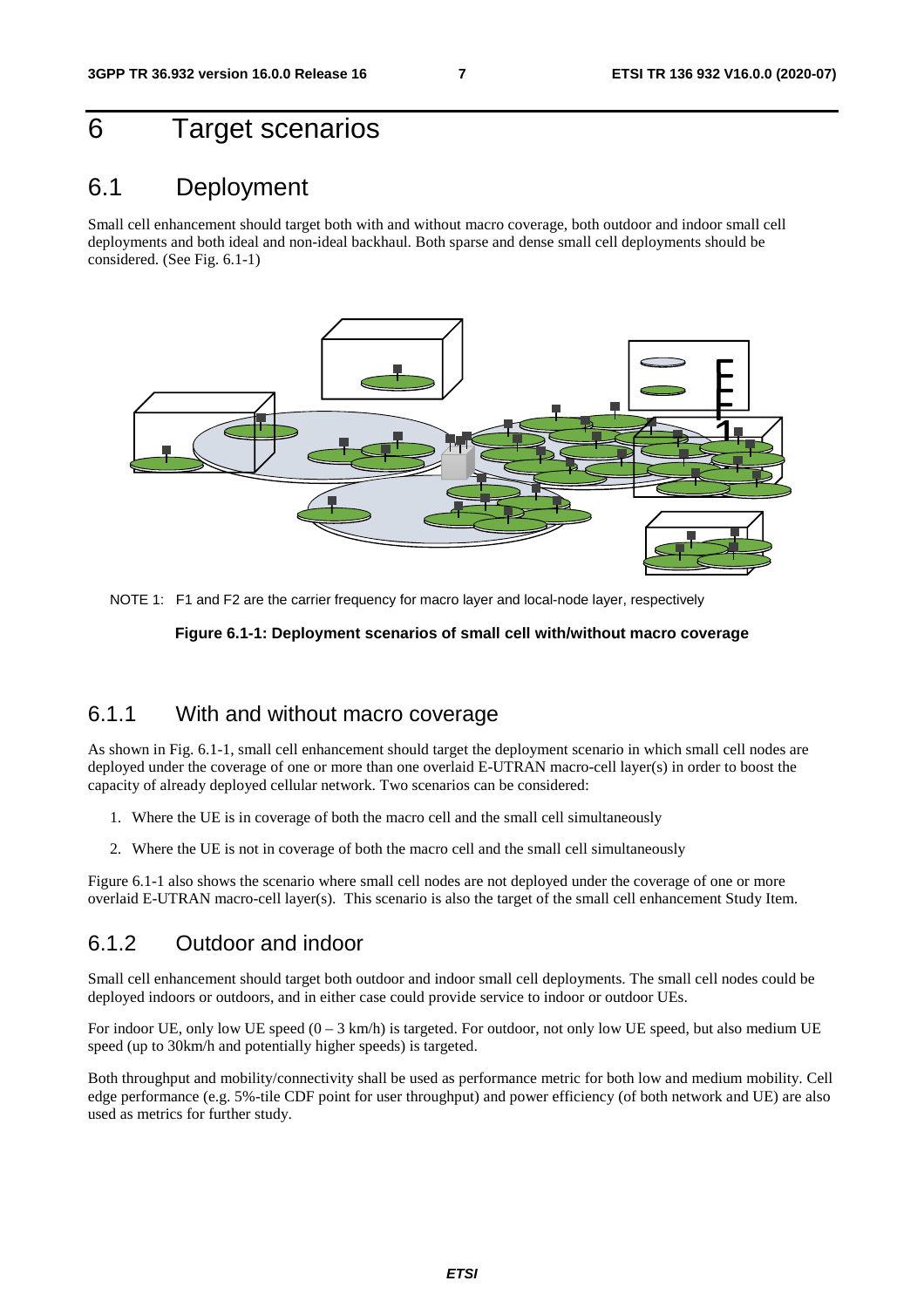### <span id="page-7-0"></span>6 Target scenarios

#### 6.1 Deployment

Small cell enhancement should target both with and without macro coverage, both outdoor and indoor small cell deployments and both ideal and non-ideal backhaul. Both sparse and dense small cell deployments should be considered. (See Fig. 6.1-1)



NOTE 1: F1 and F2 are the carrier frequency for macro layer and local-node layer, respectively

#### **Figure 6.1-1: Deployment scenarios of small cell with/without macro coverage**

#### 6.1.1 With and without macro coverage

As shown in Fig. 6.1-1, small cell enhancement should target the deployment scenario in which small cell nodes are deployed under the coverage of one or more than one overlaid E-UTRAN macro-cell layer(s) in order to boost the capacity of already deployed cellular network. Two scenarios can be considered:

- 1. Where the UE is in coverage of both the macro cell and the small cell simultaneously
- 2. Where the UE is not in coverage of both the macro cell and the small cell simultaneously

Figure 6.1-1 also shows the scenario where small cell nodes are not deployed under the coverage of one or more overlaid E-UTRAN macro-cell layer(s). This scenario is also the target of the small cell enhancement Study Item.

#### 6.1.2 Outdoor and indoor

Small cell enhancement should target both outdoor and indoor small cell deployments. The small cell nodes could be deployed indoors or outdoors, and in either case could provide service to indoor or outdoor UEs.

For indoor UE, only low UE speed  $(0 - 3 \text{ km/h})$  is targeted. For outdoor, not only low UE speed, but also medium UE speed (up to 30km/h and potentially higher speeds) is targeted.

Both throughput and mobility/connectivity shall be used as performance metric for both low and medium mobility. Cell edge performance (e.g. 5%-tile CDF point for user throughput) and power efficiency (of both network and UE) are also used as metrics for further study.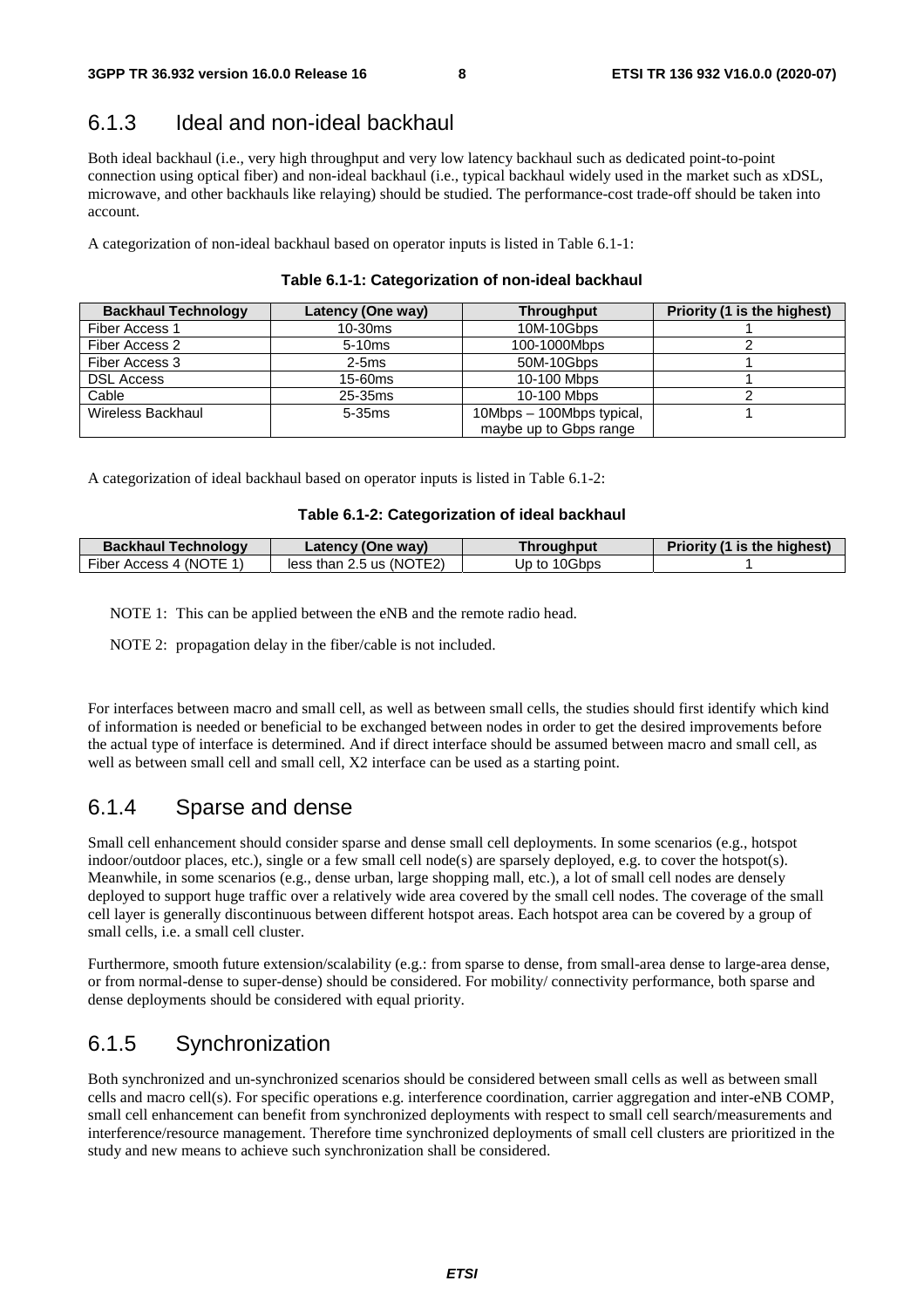#### <span id="page-8-0"></span>6.1.3 Ideal and non-ideal backhaul

Both ideal backhaul (i.e., very high throughput and very low latency backhaul such as dedicated point-to-point connection using optical fiber) and non-ideal backhaul (i.e., typical backhaul widely used in the market such as xDSL, microwave, and other backhauls like relaying) should be studied. The performance-cost trade-off should be taken into account.

A categorization of non-ideal backhaul based on operator inputs is listed in Table 6.1-1:

| <b>Backhaul Technology</b> | Latency (One way) | <b>Throughput</b>         | Priority (1 is the highest) |
|----------------------------|-------------------|---------------------------|-----------------------------|
| Fiber Access 1             | $10-30ms$         | 10M-10Gbps                |                             |
| Fiber Access 2             | $5-10ms$          | 100-1000Mbps              |                             |
| Fiber Access 3             | $2-5ms$           | 50M-10Gbps                |                             |
| <b>DSL Access</b>          | $15-60ms$         | 10-100 Mbps               |                             |
| Cable                      | 25-35ms           | 10-100 Mbps               |                             |
| Wireless Backhaul          | $5-35ms$          | 10Mbps - 100Mbps typical, |                             |
|                            |                   | maybe up to Gbps range    |                             |

A categorization of ideal backhaul based on operator inputs is listed in Table 6.1-2:

#### **Table 6.1-2: Categorization of ideal backhaul**

| <b>Backhaul Technology</b> | Latency (One way)          | Throughput   | Priority (1 is the highest) |
|----------------------------|----------------------------|--------------|-----------------------------|
| Fiber Access 4 (NOTE 1)    | less than $2.5$ us (NOTE2) | Up to 10Gbps |                             |

NOTE 1: This can be applied between the eNB and the remote radio head.

NOTE 2: propagation delay in the fiber/cable is not included.

For interfaces between macro and small cell, as well as between small cells, the studies should first identify which kind of information is needed or beneficial to be exchanged between nodes in order to get the desired improvements before the actual type of interface is determined. And if direct interface should be assumed between macro and small cell, as well as between small cell and small cell, X2 interface can be used as a starting point.

#### 6.1.4 Sparse and dense

Small cell enhancement should consider sparse and dense small cell deployments. In some scenarios (e.g., hotspot indoor/outdoor places, etc.), single or a few small cell node(s) are sparsely deployed, e.g. to cover the hotspot(s). Meanwhile, in some scenarios (e.g., dense urban, large shopping mall, etc.), a lot of small cell nodes are densely deployed to support huge traffic over a relatively wide area covered by the small cell nodes. The coverage of the small cell layer is generally discontinuous between different hotspot areas. Each hotspot area can be covered by a group of small cells, i.e. a small cell cluster.

Furthermore, smooth future extension/scalability (e.g.: from sparse to dense, from small-area dense to large-area dense, or from normal-dense to super-dense) should be considered. For mobility/ connectivity performance, both sparse and dense deployments should be considered with equal priority.

#### 6.1.5 Synchronization

Both synchronized and un-synchronized scenarios should be considered between small cells as well as between small cells and macro cell(s). For specific operations e.g. interference coordination, carrier aggregation and inter-eNB COMP, small cell enhancement can benefit from synchronized deployments with respect to small cell search/measurements and interference/resource management. Therefore time synchronized deployments of small cell clusters are prioritized in the study and new means to achieve such synchronization shall be considered.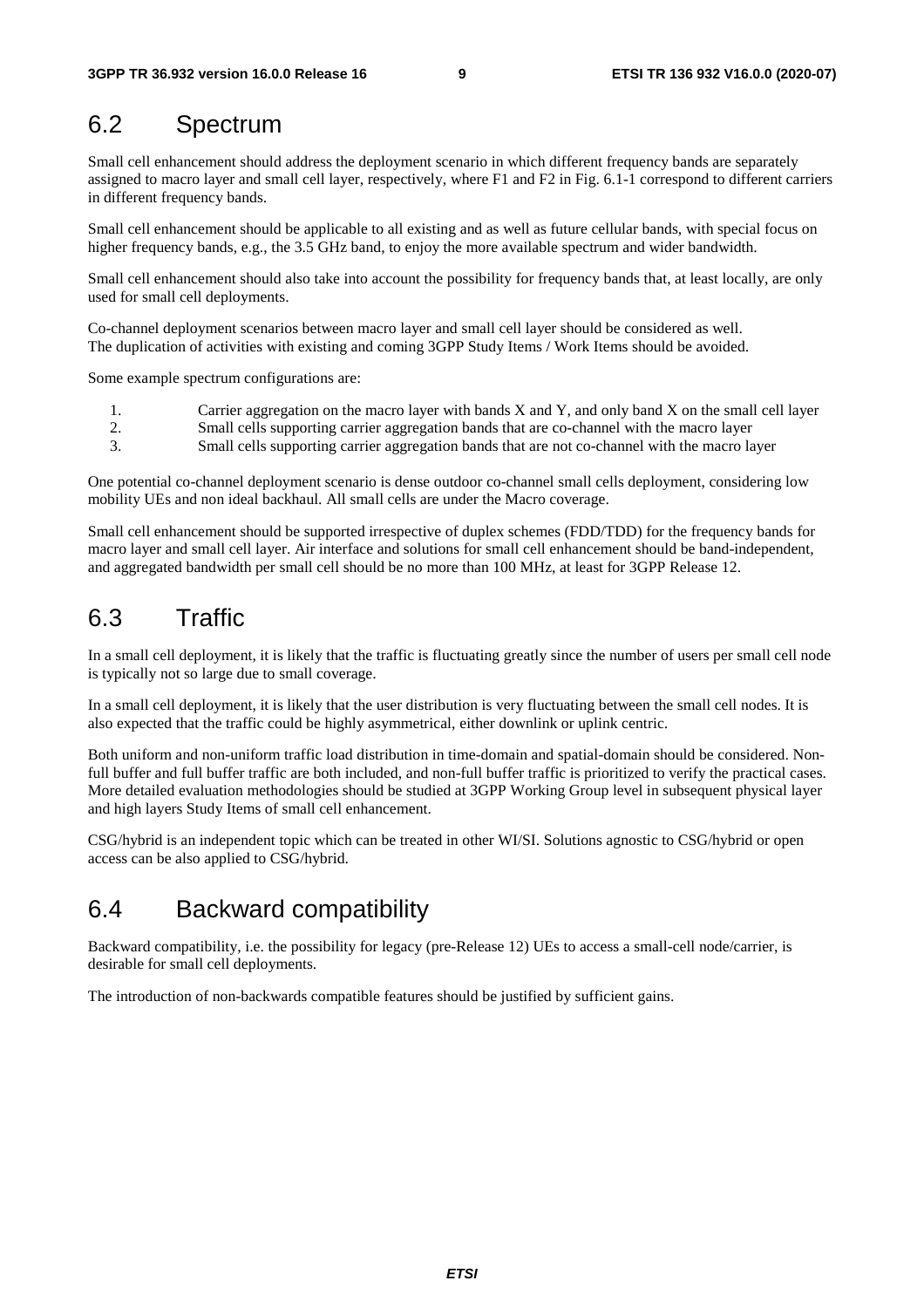### <span id="page-9-0"></span>6.2 Spectrum

Small cell enhancement should address the deployment scenario in which different frequency bands are separately assigned to macro layer and small cell layer, respectively, where F1 and F2 in Fig. 6.1-1 correspond to different carriers in different frequency bands.

Small cell enhancement should be applicable to all existing and as well as future cellular bands, with special focus on higher frequency bands, e.g., the 3.5 GHz band, to enjoy the more available spectrum and wider bandwidth.

Small cell enhancement should also take into account the possibility for frequency bands that, at least locally, are only used for small cell deployments.

Co-channel deployment scenarios between macro layer and small cell layer should be considered as well. The duplication of activities with existing and coming 3GPP Study Items / Work Items should be avoided.

Some example spectrum configurations are:

- 1. Carrier aggregation on the macro layer with bands X and Y, and only band X on the small cell layer 2. Small cells supporting carrier aggregation bands that are co-channel with the macro layer
- 3. Small cells supporting carrier aggregation bands that are not co-channel with the macro layer

One potential co-channel deployment scenario is dense outdoor co-channel small cells deployment, considering low mobility UEs and non ideal backhaul. All small cells are under the Macro coverage.

Small cell enhancement should be supported irrespective of duplex schemes (FDD/TDD) for the frequency bands for macro layer and small cell layer. Air interface and solutions for small cell enhancement should be band-independent, and aggregated bandwidth per small cell should be no more than 100 MHz, at least for 3GPP Release 12.

### 6.3 Traffic

In a small cell deployment, it is likely that the traffic is fluctuating greatly since the number of users per small cell node is typically not so large due to small coverage.

In a small cell deployment, it is likely that the user distribution is very fluctuating between the small cell nodes. It is also expected that the traffic could be highly asymmetrical, either downlink or uplink centric.

Both uniform and non-uniform traffic load distribution in time-domain and spatial-domain should be considered. Nonfull buffer and full buffer traffic are both included, and non-full buffer traffic is prioritized to verify the practical cases. More detailed evaluation methodologies should be studied at 3GPP Working Group level in subsequent physical layer and high layers Study Items of small cell enhancement.

CSG/hybrid is an independent topic which can be treated in other WI/SI. Solutions agnostic to CSG/hybrid or open access can be also applied to CSG/hybrid.

### 6.4 Backward compatibility

Backward compatibility, i.e. the possibility for legacy (pre-Release 12) UEs to access a small-cell node/carrier, is desirable for small cell deployments.

The introduction of non-backwards compatible features should be justified by sufficient gains.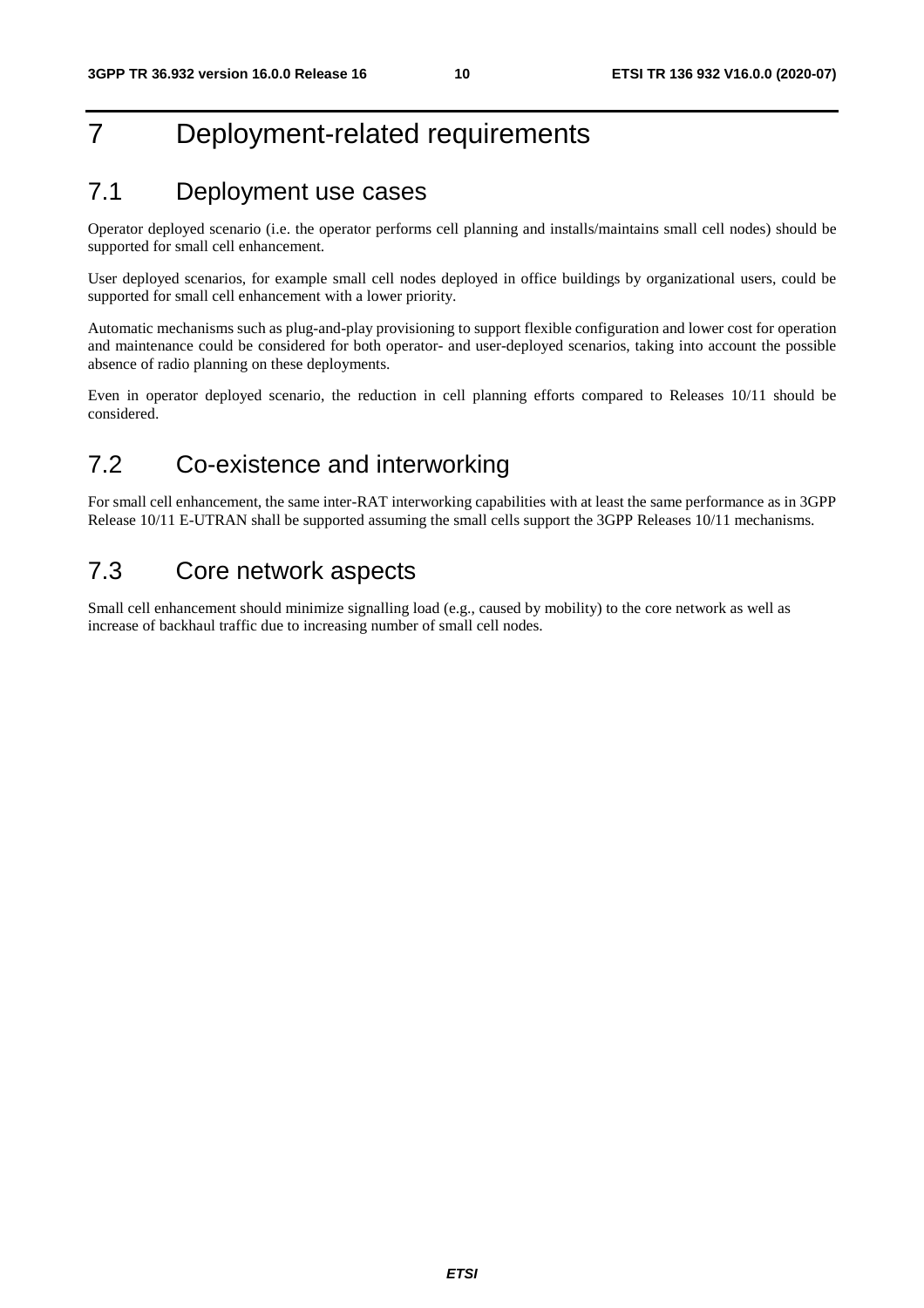## <span id="page-10-0"></span>7 Deployment-related requirements

### 7.1 Deployment use cases

Operator deployed scenario (i.e. the operator performs cell planning and installs/maintains small cell nodes) should be supported for small cell enhancement.

User deployed scenarios, for example small cell nodes deployed in office buildings by organizational users, could be supported for small cell enhancement with a lower priority.

Automatic mechanisms such as plug-and-play provisioning to support flexible configuration and lower cost for operation and maintenance could be considered for both operator- and user-deployed scenarios, taking into account the possible absence of radio planning on these deployments.

Even in operator deployed scenario, the reduction in cell planning efforts compared to Releases 10/11 should be considered.

### 7.2 Co-existence and interworking

For small cell enhancement, the same inter-RAT interworking capabilities with at least the same performance as in 3GPP Release 10/11 E-UTRAN shall be supported assuming the small cells support the 3GPP Releases 10/11 mechanisms.

### 7.3 Core network aspects

Small cell enhancement should minimize signalling load (e.g., caused by mobility) to the core network as well as increase of backhaul traffic due to increasing number of small cell nodes.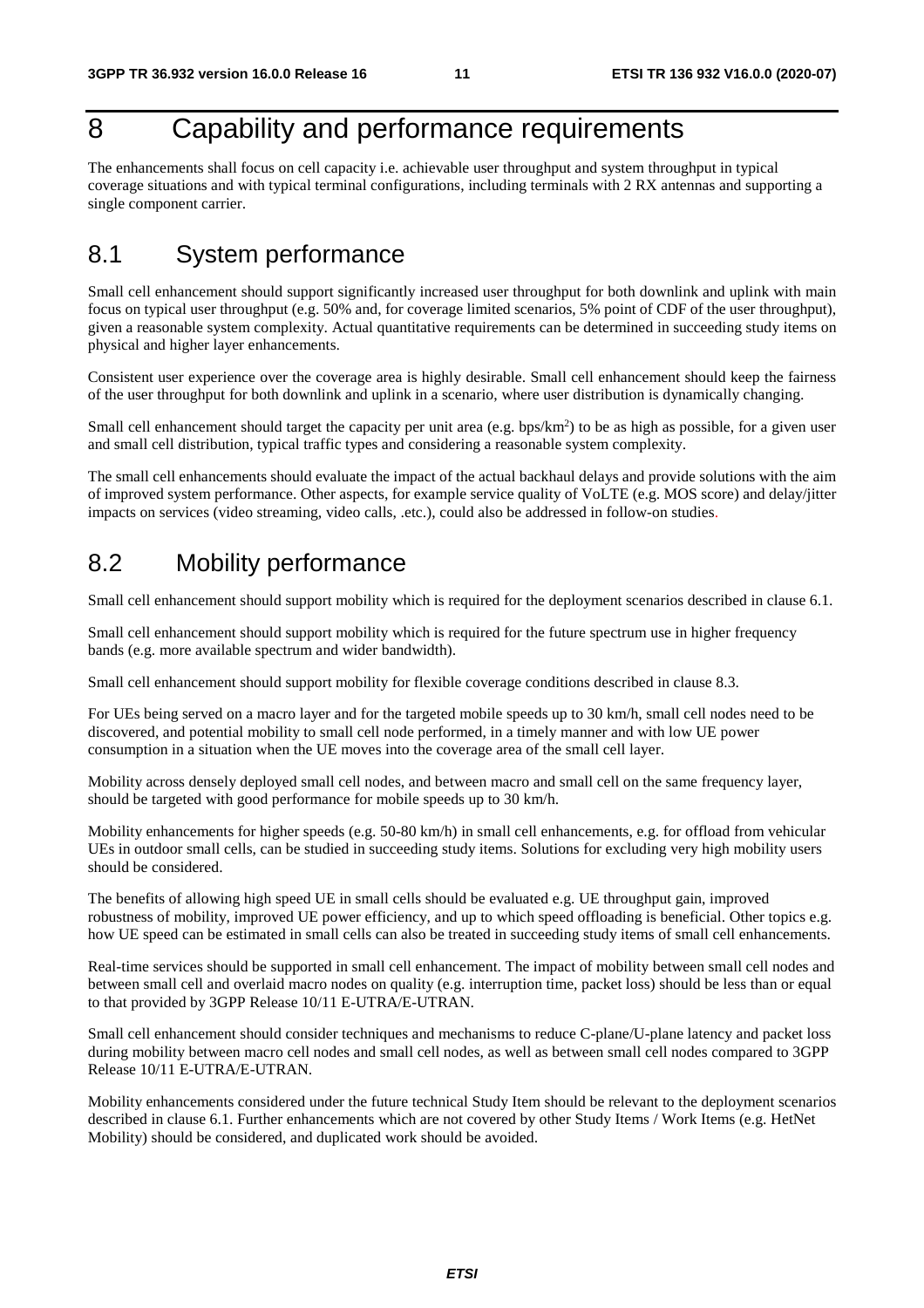## <span id="page-11-0"></span>8 Capability and performance requirements

The enhancements shall focus on cell capacity i.e. achievable user throughput and system throughput in typical coverage situations and with typical terminal configurations, including terminals with 2 RX antennas and supporting a single component carrier.

### 8.1 System performance

Small cell enhancement should support significantly increased user throughput for both downlink and uplink with main focus on typical user throughput (e.g. 50% and, for coverage limited scenarios, 5% point of CDF of the user throughput), given a reasonable system complexity. Actual quantitative requirements can be determined in succeeding study items on physical and higher layer enhancements.

Consistent user experience over the coverage area is highly desirable. Small cell enhancement should keep the fairness of the user throughput for both downlink and uplink in a scenario, where user distribution is dynamically changing.

Small cell enhancement should target the capacity per unit area (e.g. bps/ $km<sup>2</sup>$ ) to be as high as possible, for a given user and small cell distribution, typical traffic types and considering a reasonable system complexity.

The small cell enhancements should evaluate the impact of the actual backhaul delays and provide solutions with the aim of improved system performance. Other aspects, for example service quality of VoLTE (e.g. MOS score) and delay/jitter impacts on services (video streaming, video calls, .etc.), could also be addressed in follow-on studies.

### 8.2 Mobility performance

Small cell enhancement should support mobility which is required for the deployment scenarios described in clause 6.1.

Small cell enhancement should support mobility which is required for the future spectrum use in higher frequency bands (e.g. more available spectrum and wider bandwidth).

Small cell enhancement should support mobility for flexible coverage conditions described in clause 8.3.

For UEs being served on a macro layer and for the targeted mobile speeds up to 30 km/h, small cell nodes need to be discovered, and potential mobility to small cell node performed, in a timely manner and with low UE power consumption in a situation when the UE moves into the coverage area of the small cell layer.

Mobility across densely deployed small cell nodes, and between macro and small cell on the same frequency layer, should be targeted with good performance for mobile speeds up to 30 km/h.

Mobility enhancements for higher speeds (e.g. 50-80 km/h) in small cell enhancements, e.g. for offload from vehicular UEs in outdoor small cells, can be studied in succeeding study items. Solutions for excluding very high mobility users should be considered.

The benefits of allowing high speed UE in small cells should be evaluated e.g. UE throughput gain, improved robustness of mobility, improved UE power efficiency, and up to which speed offloading is beneficial. Other topics e.g. how UE speed can be estimated in small cells can also be treated in succeeding study items of small cell enhancements.

Real-time services should be supported in small cell enhancement. The impact of mobility between small cell nodes and between small cell and overlaid macro nodes on quality (e.g. interruption time, packet loss) should be less than or equal to that provided by 3GPP Release 10/11 E-UTRA/E-UTRAN.

Small cell enhancement should consider techniques and mechanisms to reduce C-plane/U-plane latency and packet loss during mobility between macro cell nodes and small cell nodes, as well as between small cell nodes compared to 3GPP Release 10/11 E-UTRA/E-UTRAN.

Mobility enhancements considered under the future technical Study Item should be relevant to the deployment scenarios described in clause 6.1. Further enhancements which are not covered by other Study Items / Work Items (e.g. HetNet Mobility) should be considered, and duplicated work should be avoided.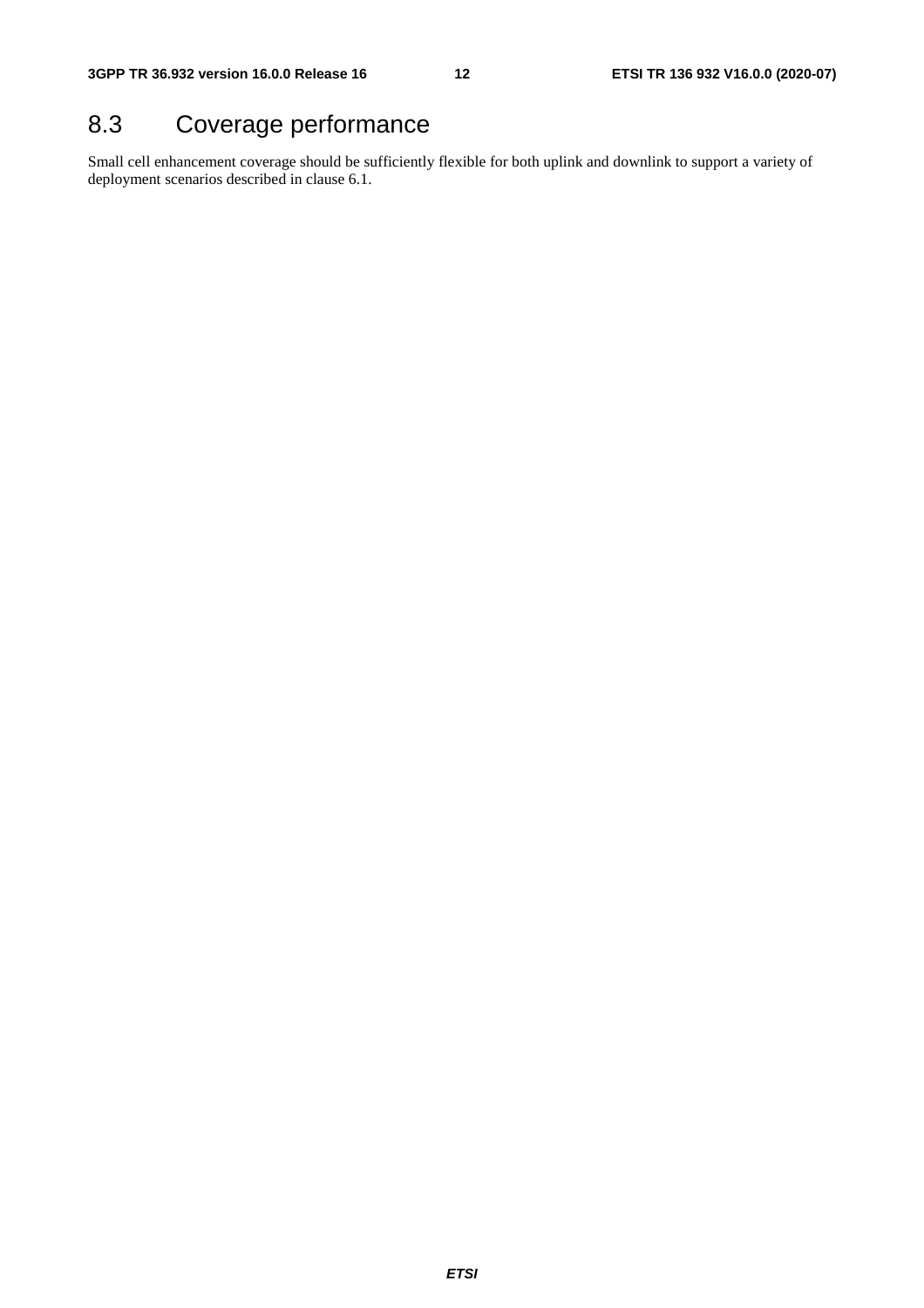## <span id="page-12-0"></span>8.3 Coverage performance

Small cell enhancement coverage should be sufficiently flexible for both uplink and downlink to support a variety of deployment scenarios described in clause 6.1.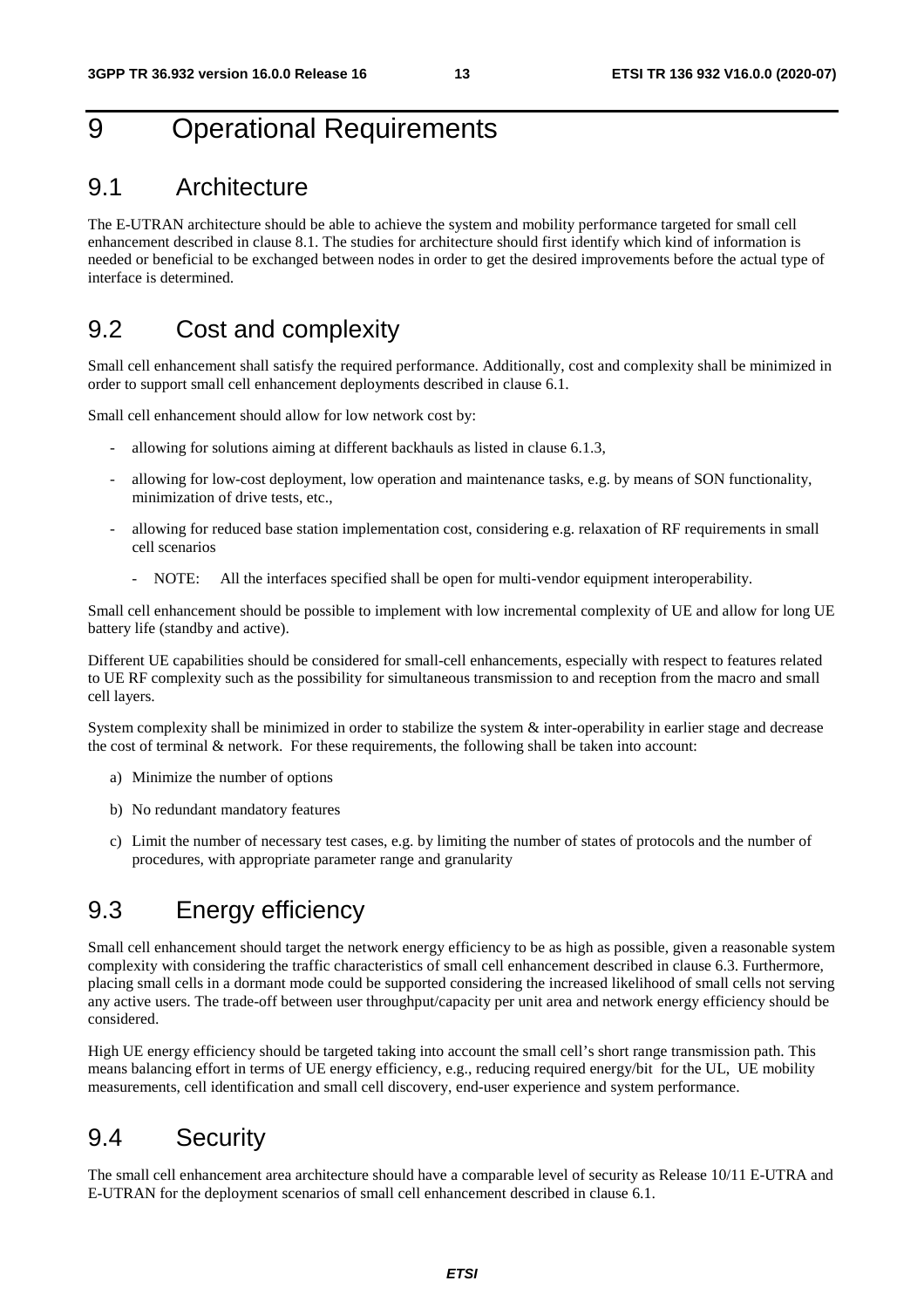### <span id="page-13-0"></span>9 Operational Requirements

#### 9.1 Architecture

The E-UTRAN architecture should be able to achieve the system and mobility performance targeted for small cell enhancement described in clause 8.1. The studies for architecture should first identify which kind of information is needed or beneficial to be exchanged between nodes in order to get the desired improvements before the actual type of interface is determined.

#### 9.2 Cost and complexity

Small cell enhancement shall satisfy the required performance. Additionally, cost and complexity shall be minimized in order to support small cell enhancement deployments described in clause 6.1.

Small cell enhancement should allow for low network cost by:

- allowing for solutions aiming at different backhauls as listed in clause 6.1.3,
- allowing for low-cost deployment, low operation and maintenance tasks, e.g. by means of SON functionality, minimization of drive tests, etc.,
- allowing for reduced base station implementation cost, considering e.g. relaxation of RF requirements in small cell scenarios
	- NOTE: All the interfaces specified shall be open for multi-vendor equipment interoperability.

Small cell enhancement should be possible to implement with low incremental complexity of UE and allow for long UE battery life (standby and active).

Different UE capabilities should be considered for small-cell enhancements, especially with respect to features related to UE RF complexity such as the possibility for simultaneous transmission to and reception from the macro and small cell layers.

System complexity shall be minimized in order to stabilize the system  $\&$  inter-operability in earlier stage and decrease the cost of terminal & network. For these requirements, the following shall be taken into account:

- a) Minimize the number of options
- b) No redundant mandatory features
- c) Limit the number of necessary test cases, e.g. by limiting the number of states of protocols and the number of procedures, with appropriate parameter range and granularity

### 9.3 Energy efficiency

Small cell enhancement should target the network energy efficiency to be as high as possible, given a reasonable system complexity with considering the traffic characteristics of small cell enhancement described in clause 6.3. Furthermore, placing small cells in a dormant mode could be supported considering the increased likelihood of small cells not serving any active users. The trade-off between user throughput/capacity per unit area and network energy efficiency should be considered.

High UE energy efficiency should be targeted taking into account the small cell's short range transmission path. This means balancing effort in terms of UE energy efficiency, e.g., reducing required energy/bit for the UL, UE mobility measurements, cell identification and small cell discovery, end-user experience and system performance.

#### 9.4 Security

The small cell enhancement area architecture should have a comparable level of security as Release 10/11 E-UTRA and E-UTRAN for the deployment scenarios of small cell enhancement described in clause 6.1.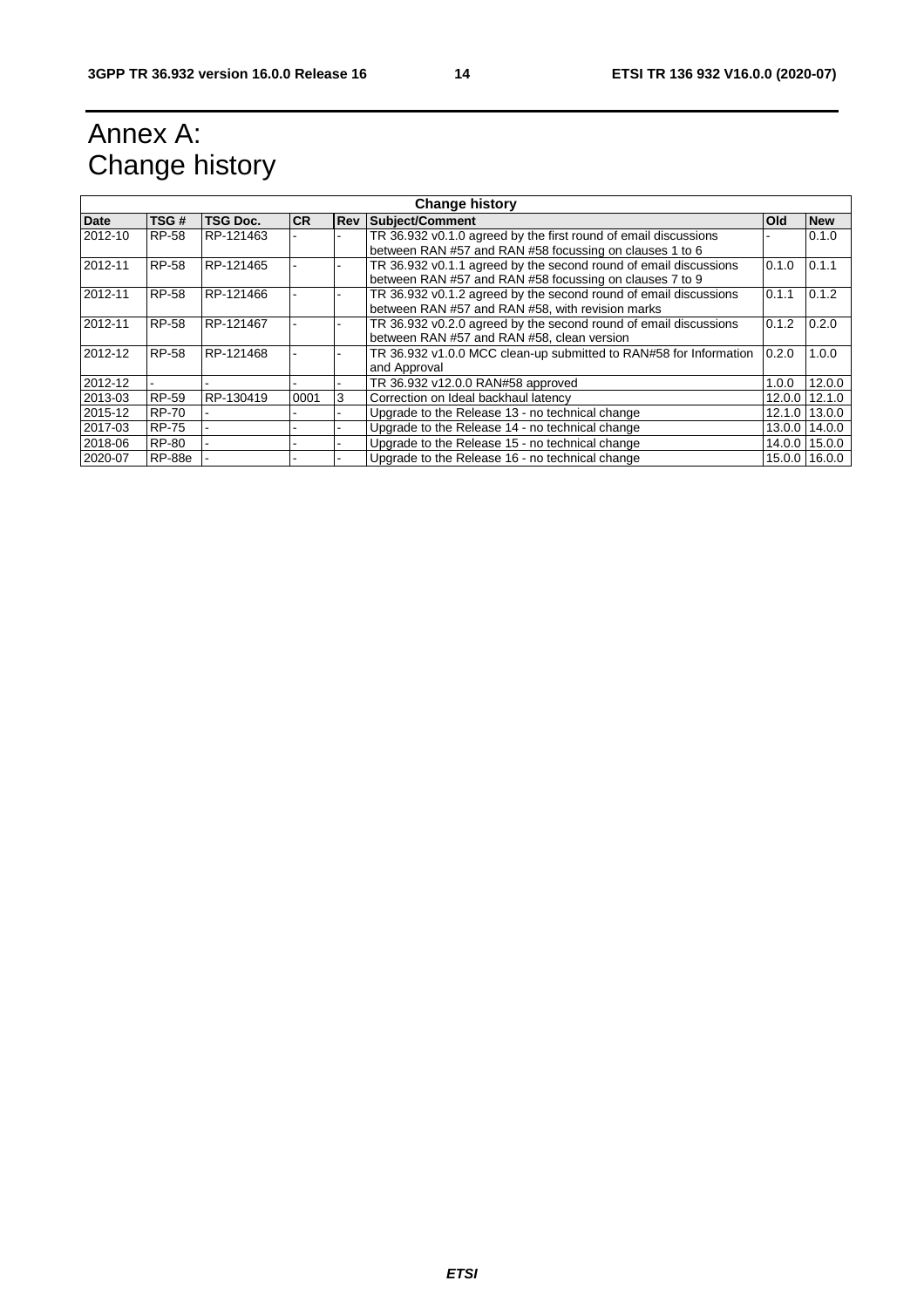## <span id="page-14-0"></span>Annex A: Change history

| <b>Change history</b> |               |                 |           |            |                                                                                                                             |        |                 |
|-----------------------|---------------|-----------------|-----------|------------|-----------------------------------------------------------------------------------------------------------------------------|--------|-----------------|
| <b>Date</b>           | TSG#          | <b>TSG Doc.</b> | <b>CR</b> | <b>Rev</b> | Subject/Comment                                                                                                             | Old    | <b>New</b>      |
| 2012-10               | <b>RP-58</b>  | RP-121463       |           |            | TR 36.932 v0.1.0 agreed by the first round of email discussions<br>between RAN #57 and RAN #58 focussing on clauses 1 to 6  |        | 0.1.0           |
| 2012-11               | <b>RP-58</b>  | RP-121465       |           |            | TR 36.932 v0.1.1 agreed by the second round of email discussions<br>between RAN #57 and RAN #58 focussing on clauses 7 to 9 | 0.1.0  | 0.1.1           |
| 2012-11               | <b>RP-58</b>  | RP-121466       |           |            | TR 36.932 v0.1.2 agreed by the second round of email discussions<br>between RAN #57 and RAN #58, with revision marks        | 0.1.1  | 0.1.2           |
| 2012-11               | <b>RP-58</b>  | RP-121467       |           |            | TR 36.932 v0.2.0 agreed by the second round of email discussions<br>between RAN #57 and RAN #58, clean version              | 0.1.2  | 0.2.0           |
| 2012-12               | <b>RP-58</b>  | RP-121468       |           |            | TR 36.932 v1.0.0 MCC clean-up submitted to RAN#58 for Information<br>and Approval                                           | 0.2.0  | 1.0.0           |
| 2012-12               |               |                 |           |            | TR 36.932 v12.0.0 RAN#58 approved                                                                                           | 1.0.0  | 12.0.0          |
| 2013-03               | RP-59         | RP-130419       | 0001      | 3          | Correction on Ideal backhaul latency                                                                                        |        | $12.0.0$ 12.1.0 |
| 2015-12               | <b>RP-70</b>  |                 |           |            | Upgrade to the Release 13 - no technical change                                                                             | 12.1.0 | 13.0.0          |
| 2017-03               | <b>RP-75</b>  |                 |           |            | Upgrade to the Release 14 - no technical change                                                                             |        | 13.0.0 14.0.0   |
| 2018-06               | <b>RP-80</b>  |                 |           |            | Upgrade to the Release 15 - no technical change                                                                             |        | 14.0.0 15.0.0   |
| 2020-07               | <b>RP-88e</b> |                 |           |            | Upgrade to the Release 16 - no technical change                                                                             |        | 15.0.0 16.0.0   |